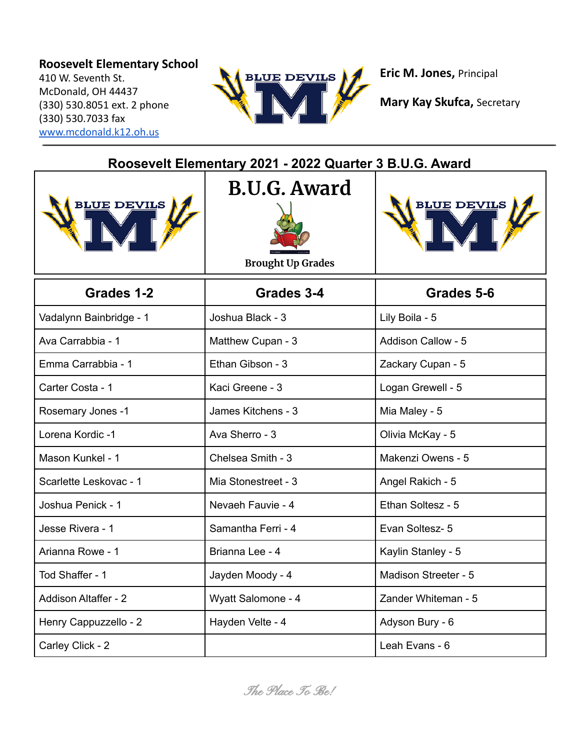## **Roosevelt Elementary School**

410 W. Seventh St. McDonald, OH 44437 (330) 530.8051 ext. 2 phone (330) 530.7033 fax [www.mcdonald.k12.oh.us](http://www.mcdonald.k12.oh.us)



**Eric M. Jones,** Principal

| Roosevelt Elementary 2021 - 2022 Quarter 3 B.U.G. Award |                                                 |                           |  |
|---------------------------------------------------------|-------------------------------------------------|---------------------------|--|
| <b>BLUE DEVILS</b>                                      | <b>B.U.G. Award</b><br><b>Brought Up Grades</b> | <b>BLUE DEVILS</b>        |  |
| Grades 1-2                                              | Grades 3-4                                      | Grades 5-6                |  |
| Vadalynn Bainbridge - 1                                 | Joshua Black - 3                                | Lily Boila - 5            |  |
| Ava Carrabbia - 1                                       | Matthew Cupan - 3                               | <b>Addison Callow - 5</b> |  |
| Emma Carrabbia - 1                                      | Ethan Gibson - 3                                | Zackary Cupan - 5         |  |
| Carter Costa - 1                                        | Kaci Greene - 3                                 | Logan Grewell - 5         |  |
| Rosemary Jones -1                                       | James Kitchens - 3                              | Mia Maley - 5             |  |
| Lorena Kordic -1                                        | Ava Sherro - 3                                  | Olivia McKay - 5          |  |
| Mason Kunkel - 1                                        | Chelsea Smith - 3                               | Makenzi Owens - 5         |  |
| Scarlette Leskovac - 1                                  | Mia Stonestreet - 3                             | Angel Rakich - 5          |  |
| Joshua Penick - 1                                       | Nevaeh Fauvie - 4                               | Ethan Soltesz - 5         |  |
| Jesse Rivera - 1                                        | Samantha Ferri - 4                              | Evan Soltesz- 5           |  |
| Arianna Rowe - 1                                        | Brianna Lee - 4                                 | Kaylin Stanley - 5        |  |
| Tod Shaffer - 1                                         | Jayden Moody - 4                                | Madison Streeter - 5      |  |
| <b>Addison Altaffer - 2</b>                             | Wyatt Salomone - 4                              | Zander Whiteman - 5       |  |
| Henry Cappuzzello - 2                                   | Hayden Velte - 4                                | Adyson Bury - 6           |  |
| Carley Click - 2                                        |                                                 | Leah Evans - 6            |  |

**Mary Kay Skufca,** Secretary

The Place To Be!